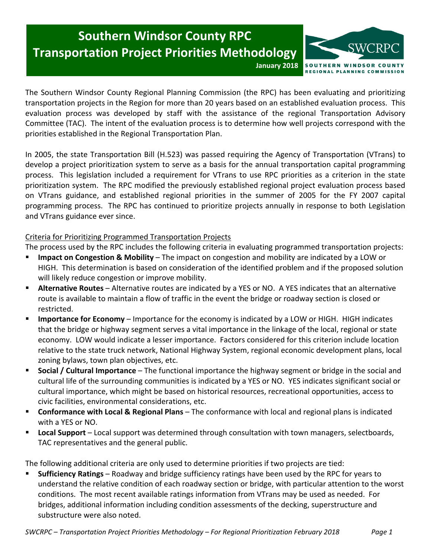# **Southern Windsor County RPC Transportation Project Priorities Methodology**



The Southern Windsor County Regional Planning Commission (the RPC) has been evaluating and prioritizing transportation projects in the Region for more than 20 years based on an established evaluation process. This evaluation process was developed by staff with the assistance of the regional Transportation Advisory Committee (TAC). The intent of the evaluation process is to determine how well projects correspond with the priorities established in the Regional Transportation Plan.

In 2005, the state Transportation Bill (H.523) was passed requiring the Agency of Transportation (VTrans) to develop a project prioritization system to serve as a basis for the annual transportation capital programming process. This legislation included a requirement for VTrans to use RPC priorities as a criterion in the state prioritization system. The RPC modified the previously established regional project evaluation process based on VTrans guidance, and established regional priorities in the summer of 2005 for the FY 2007 capital programming process. The RPC has continued to prioritize projects annually in response to both Legislation and VTrans guidance ever since.

## Criteria for Prioritizing Programmed Transportation Projects

The process used by the RPC includes the following criteria in evaluating programmed transportation projects:

- **Impact on Congestion & Mobility** The impact on congestion and mobility are indicated by a LOW or HIGH. This determination is based on consideration of the identified problem and if the proposed solution will likely reduce congestion or improve mobility.
- **Alternative Routes** Alternative routes are indicated by a YES or NO. A YES indicates that an alternative route is available to maintain a flow of traffic in the event the bridge or roadway section is closed or restricted.
- **Importance for Economy** Importance for the economy is indicated by a LOW or HIGH. HIGH indicates that the bridge or highway segment serves a vital importance in the linkage of the local, regional or state economy. LOW would indicate a lesser importance. Factors considered for this criterion include location relative to the state truck network, National Highway System, regional economic development plans, local zoning bylaws, town plan objectives, etc.
- **Social / Cultural Importance** The functional importance the highway segment or bridge in the social and cultural life of the surrounding communities is indicated by a YES or NO. YES indicates significant social or cultural importance, which might be based on historical resources, recreational opportunities, access to civic facilities, environmental considerations, etc.
- **Conformance with Local & Regional Plans** The conformance with local and regional plans is indicated with a YES or NO.
- **Local Support** Local support was determined through consultation with town managers, selectboards, TAC representatives and the general public.

The following additional criteria are only used to determine priorities if two projects are tied:

 **Sufficiency Ratings** – Roadway and bridge sufficiency ratings have been used by the RPC for years to understand the relative condition of each roadway section or bridge, with particular attention to the worst conditions. The most recent available ratings information from VTrans may be used as needed. For bridges, additional information including condition assessments of the decking, superstructure and substructure were also noted.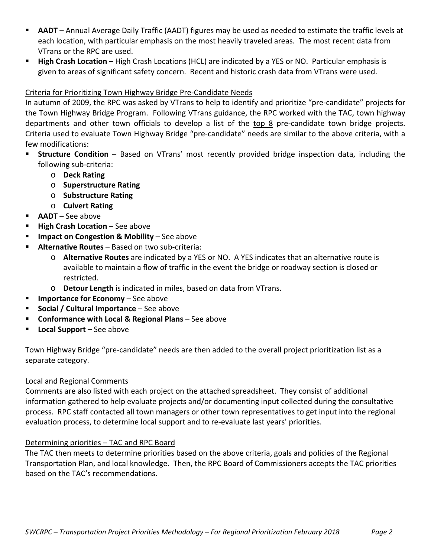- **AADT** Annual Average Daily Traffic (AADT) figures may be used as needed to estimate the traffic levels at each location, with particular emphasis on the most heavily traveled areas. The most recent data from VTrans or the RPC are used.
- **High Crash Location** High Crash Locations (HCL) are indicated by a YES or NO. Particular emphasis is given to areas of significant safety concern. Recent and historic crash data from VTrans were used.

## Criteria for Prioritizing Town Highway Bridge Pre‐Candidate Needs

In autumn of 2009, the RPC was asked by VTrans to help to identify and prioritize "pre‐candidate" projects for the Town Highway Bridge Program. Following VTrans guidance, the RPC worked with the TAC, town highway departments and other town officials to develop a list of the  $top 8$  pre-candidate town bridge projects. Criteria used to evaluate Town Highway Bridge "pre‐candidate" needs are similar to the above criteria, with a few modifications:

- **Structure Condition** Based on VTrans' most recently provided bridge inspection data, including the following sub‐criteria:
	- o **Deck Rating**
	- o **Superstructure Rating**
	- o **Substructure Rating**
	- o **Culvert Rating**
- **AADT** See above
- **High Crash Location** See above
- **Impact on Congestion & Mobility** See above
- **Alternative Routes** Based on two sub-criteria:
	- o **Alternative Routes** are indicated by a YES or NO. A YES indicates that an alternative route is available to maintain a flow of traffic in the event the bridge or roadway section is closed or restricted.
	- o **Detour Length** is indicated in miles, based on data from VTrans.
- **Importance for Economy** See above
- **Social / Cultural Importance** See above
- **Conformance with Local & Regional Plans** See above
- **Local Support** See above

Town Highway Bridge "pre‐candidate" needs are then added to the overall project prioritization list as a separate category.

### Local and Regional Comments

Comments are also listed with each project on the attached spreadsheet. They consist of additional information gathered to help evaluate projects and/or documenting input collected during the consultative process. RPC staff contacted all town managers or other town representatives to get input into the regional evaluation process, to determine local support and to re-evaluate last years' priorities.

### Determining priorities – TAC and RPC Board

The TAC then meets to determine priorities based on the above criteria, goals and policies of the Regional Transportation Plan, and local knowledge. Then, the RPC Board of Commissioners accepts the TAC priorities based on the TAC's recommendations.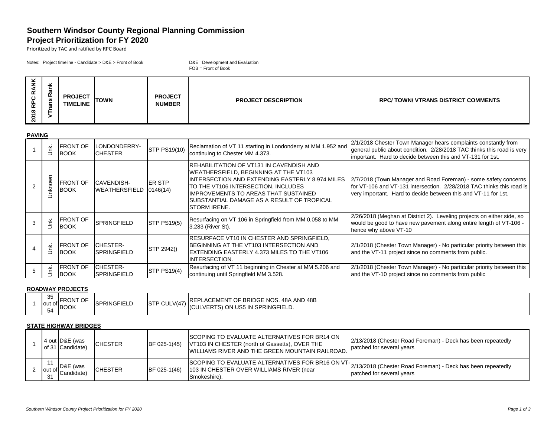### **Southern Windsor County Regional Planning Commission Project Prioritization for FY 2020**

Prioritized by TAC and ratified by RPC Board

Notes: Project timeline - Candidate > D&E > Front of Book D&E =Development and Evaluation

FOB = Front of Book

| $\checkmark$<br>≛<br>≃<br>Ω<br>눕<br>∞<br>- | ≚<br>ω<br>$\propto$<br><b>SC</b><br>-<br>ਛ | <b>PROJECT</b><br><b>TIMELINE</b> | <b>TOWN</b> | <b>PROJECT</b><br><b>NUMBER</b> | <b>PROJECT DESCRIPTION</b> | <b>RPC/TOWN/ VTRANS DISTRICT COMMENTS</b> |
|--------------------------------------------|--------------------------------------------|-----------------------------------|-------------|---------------------------------|----------------------------|-------------------------------------------|
| ຊ                                          |                                            |                                   |             |                                 |                            |                                           |

|               | <b>PAVING</b>        |                                  |                                                                                                                                                                                                             |                    |                                                                                                                                                                                                                                                                                                       |                                                                                                                                                                                                             |  |  |
|---------------|----------------------|----------------------------------|-------------------------------------------------------------------------------------------------------------------------------------------------------------------------------------------------------------|--------------------|-------------------------------------------------------------------------------------------------------------------------------------------------------------------------------------------------------------------------------------------------------------------------------------------------------|-------------------------------------------------------------------------------------------------------------------------------------------------------------------------------------------------------------|--|--|
|               | Š                    | <b>FRONT OF</b><br><b>BOOK</b>   | LONDONDERRY-<br><b>CHESTER</b>                                                                                                                                                                              | STP PS19(10)       | Reclamation of VT 11 starting in Londonderry at MM 1.952 and<br>continuing to Chester MM 4.373.                                                                                                                                                                                                       | 2/1/2018 Chester Town Manager hears complaints constantly from<br>general public about condition. 2/28/2018 TAC thinks this road is very<br>important. Hard to decide between this and VT-131 for 1st.      |  |  |
| $\mathcal{P}$ | Jnknown              | <b>FRONT OF</b><br><b>BOOK</b>   | <b>CAVENDISH-</b><br>WEATHERSFIELD 0146(14)                                                                                                                                                                 | <b>IER STP</b>     | <b>IREHABILITATION OF VT131 IN CAVENDISH AND</b><br>WEATHERSFIELD, BEGINNING AT THE VT103<br>IINTERSECTION AND EXTENDING EASTERLY 8.974 MILES<br>ITO THE VT106 INTERSECTION. INCLUDES<br>IIMPROVEMENTS TO AREAS THAT SUSTAINED<br>ISUBSTANTIAL DAMAGE AS A RESULT OF TROPICAL<br><b>ISTORM IRENE.</b> | 2/7/2018 (Town Manager and Road Foreman) - some safety concerns<br>Ifor VT-106 and VT-131 intersection. 2/28/2018 TAC thinks this road is<br>very important. Hard to decide between this and VT-11 for 1st. |  |  |
|               | Š                    | <b>FRONT OF</b><br><b>BOOK</b>   | SPRINGFIELD                                                                                                                                                                                                 | <b>STP PS19(5)</b> | Resurfacing on VT 106 in Springfield from MM 0.058 to MM<br>3.283 (River St).                                                                                                                                                                                                                         | 2/26/2018 (Meghan at District 2). Leveling projects on either side, so<br>would be good to have new pavement along entire length of VT-106 -<br>hence why above VT-10                                       |  |  |
|               | $\breve{\mathbf{z}}$ | <b>IFRONT OF</b><br><b>IBOOK</b> | <b>IRESURFACE VT10 IN CHESTER AND SPRINGFIELD,</b><br>IBEGINNING AT THE VT103 INTERSECTION AND<br>ICHESTER-<br>STP 2942()<br>ISPRINGFIELD<br>IEXTENDING EASTERLY 4.373 MILES TO THE VT106<br>IINTERSECTION. |                    | 2/1/2018 (Chester Town Manager) - No particular priority between this<br>and the VT-11 project since no comments from public.                                                                                                                                                                         |                                                                                                                                                                                                             |  |  |
|               | نح<br>Ŝ              | <b>FRONT OF</b><br><b>IBOOK</b>  | <b>ICHESTER-</b><br><b>ISPRINGFIELD</b>                                                                                                                                                                     | <b>STP PS19(4)</b> | Resurfacing of VT 11 beginning in Chester at MM 5.206 and<br>continuing until Springfield MM 3.528.                                                                                                                                                                                                   | 2/1/2018 (Chester Town Manager) - No particular priority between this<br>and the VT-10 project since no comments from public                                                                                |  |  |

#### **ROADWAY PROJECTS**

| $\sim$<br>ັບ<br>.IFRONT<br>◡<br>SPRINGFIELL<br>$\left  \begin{array}{c} \n\text{Out of} \\ \n\end{array} \right $ BOOK<br>54 |
|------------------------------------------------------------------------------------------------------------------------------|
|------------------------------------------------------------------------------------------------------------------------------|

#### **STATE HIGHWAY BRIDGES**

|  | 4 out D&E (was<br>of 31 Candidate)  | <b>CHESTER</b> | <b>BF 025-1(45)</b> | <b>ISCOPING TO EVALUATE ALTERNATIVES FOR BR14 ON</b><br>VT103 IN CHESTER (north of Gassetts), OVER THE<br><b>IWILLIAMS RIVER AND THE GREEN MOUNTAIN RAILROAD.</b> | 2/13/2018 (Chester Road Foreman) - Deck has been repeatedly<br>patched for several years |
|--|-------------------------------------|----------------|---------------------|-------------------------------------------------------------------------------------------------------------------------------------------------------------------|------------------------------------------------------------------------------------------|
|  | D&E (was<br>$\cdot$ " of Candidate) | <b>CHESTER</b> | BF 025-1(46)        | <b>ISCOPING TO EVALUATE ALTERNATIVES FOR BR16 ON VT-</b><br>103 IN CHESTER OVER WILLIAMS RIVER (near<br>Smokeshire).                                              | 2/13/2018 (Chester Road Foreman) - Deck has been repeatedly<br>patched for several years |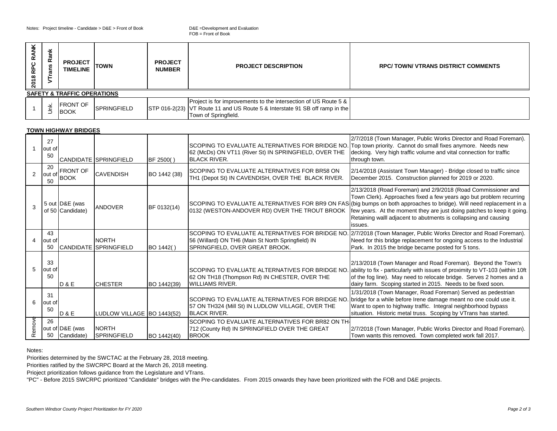**TOWN HIGHWAY BRIDGES**

| ×<br>◀<br>≃<br>운<br>$\infty$<br>201                                                                                                                                                                                                       | ω<br>$\alpha$<br>n<br>ω                | <b>PROJECT</b><br><b>TIMELINE</b> | TOWN | <b>PROJECT</b><br><b>NUMBER</b> | <b>PROJECT DESCRIPTION</b> | <b>RPC/TOWN/ VTRANS DISTRICT COMMENTS</b> |  |  |  |
|-------------------------------------------------------------------------------------------------------------------------------------------------------------------------------------------------------------------------------------------|----------------------------------------|-----------------------------------|------|---------------------------------|----------------------------|-------------------------------------------|--|--|--|
|                                                                                                                                                                                                                                           | <b>SAFETY &amp; TRAFFIC OPERATIONS</b> |                                   |      |                                 |                            |                                           |  |  |  |
| Project is for improvements to the intersection of US Route 5 &<br><b>IFRONT OF</b><br>≚<br>STP 016-2(23) VT Route 11 and US Route 5 & Interstate 91 SB off ramp in the<br><b>SPRINGFIELD</b><br><b>BOOK</b><br>Ξ<br>Town of Springfield. |                                        |                                   |      |                                 |                            |                                           |  |  |  |

|   | 27<br>out of<br>50             |                                    | CANDIDATE SPRINGFIELD                          | BF 2500()        | SCOPING TO EVALUATE ALTERNATIVES FOR BRIDGE NO. Top town priority. Cannot do small fixes anymore. Needs new<br>62 (McDs) ON VT11 (River St) IN SPRINGFIELD, OVER THE<br><b>BLACK RIVER.</b> | 2/7/2018 (Town Manager, Public Works Director and Road Foreman).<br>decking. Very high traffic volume and vital connection for traffic<br>through town.                                                                                                                                                                                                                                                             |
|---|--------------------------------|------------------------------------|------------------------------------------------|------------------|---------------------------------------------------------------------------------------------------------------------------------------------------------------------------------------------|---------------------------------------------------------------------------------------------------------------------------------------------------------------------------------------------------------------------------------------------------------------------------------------------------------------------------------------------------------------------------------------------------------------------|
|   | 20<br>2 out of<br>$50^{\circ}$ | <b>FRONT OF</b><br><b>BOOK</b>     | <b>CAVENDISH</b>                               | BO 1442 (38)     | SCOPING TO EVALUATE ALTERNATIVES FOR BR58 ON<br>TH1 (Depot St) IN CAVENDISH, OVER THE BLACK RIVER.                                                                                          | 2/14/2018 (Assistant Town Manager) - Bridge closed to traffic since<br>December 2015. Construction planned for 2019 or 2020.                                                                                                                                                                                                                                                                                        |
| 3 |                                | 5 out D&E (was<br>of 50 Candidate) | <b>ANDOVER</b>                                 | BF 0132(14)      | 0132 (WESTON-ANDOVER RD) OVER THE TROUT BROOK                                                                                                                                               | 2/13/2018 (Road Foreman) and 2/9/2018 (Road Commissioner and<br>Town Clerk). Approaches fixed a few years ago but problem recurring<br>SCOPING TO EVALUATE ALTERNATIVES FOR BR9 ON FAS (big bumps on both approaches to bridge). Will need replacement in a<br>few years. At the moment they are just doing patches to keep it going.<br>Retaining walll adjacent to abutments is collapsing and causing<br>issues. |
| 4 | 43<br>out of<br>50             |                                    | <b>NORTH</b><br><b>ICANDIDATE ISPRINGFIELD</b> | <b>BO 1442()</b> | 56 (Willard) ON TH6 (Main St North Springfield) IN<br>SPRINGFIELD, OVER GREAT BROOK.                                                                                                        | SCOPING TO EVALUATE ALTERNATIVES FOR BRIDGE NO. 2/7/2018 (Town Manager, Public Works Director and Road Foreman).<br>Need for this bridge replacement for ongoing access to the Industrial<br>Park. In 2015 the bridge became posted for 5 tons.                                                                                                                                                                     |
|   | 33<br>5 out of                 |                                    |                                                |                  |                                                                                                                                                                                             | 2/13/2018 (Town Manager and Road Foreman). Beyond the Town's<br>SCOPING TO EVALUATE ALTERNATIVES FOR BRIDGE NO. ability to fix - particularly with issues of proximity to VT-103 (within 10ft                                                                                                                                                                                                                       |

WILLIAMS RIVER.

BLACK RIVER.

#### Notes:

6

50

31 out of 50

 $\begin{array}{c|c}\n\mathbf{e} & 26 \\
\hline\n\mathbf{e} & \mathbf{out} \text{ of } D\& \mathbf{E} \text{ (was)} \\
\hline\n\mathbf{f} & 50 & \mathbf{C} \text{and} \text{ data} \\
\end{array}$ 

Priorities determined by the SWCTAC at the February 28, 2018 meeting.

 $D & E$  CHESTER  $|BO 1442(39)$ 

D & E **LUDLOW VILLAGE** BO 1443(52)

Priorities ratified by the SWCRPC Board at the March 26, 2018 meeting.

Prioject prioritization follows guidance from the Legislature and VTrans.

"PC" - Before 2015 SWCRPC prioritized "Candidate" bridges with the Pre-candidates. From 2015 onwards they have been prioritized with the FOB and D&E projects.

62 ON TH18 (Thompson Rd) IN CHESTER, OVER THE

57 ON TH324 (Mill St) IN LUDLOW VILLAGE, OVER THE

of the fog line). May need to relocate bridge. Serves 2 homes and a dairy farm. Scoping started in 2015. Needs to be fixed soon.

1/31/2018 (Town Manager, Road Foreman) Served as pedestrian

Want to open to highway traffic. Integral neighborhood bypass situation. Historic metal truss. Scoping by VTrans has started.

SCOPING TO EVALUATE ALTERNATIVES FOR BRIDGE NO. bridge for a while before Irene damage meant no one could use it.

SCOPING TO EVALUATE ALTERNATIVES FOR BR82 ON TH-<br>NORTH 712 (County Rd) IN SPRINGFIELD OVER THE GREAT 2/7/2018 (Town Manager, Public Works Director and Road Foreman).<br>SPRINGFIELD BO 1442(40) BROOK